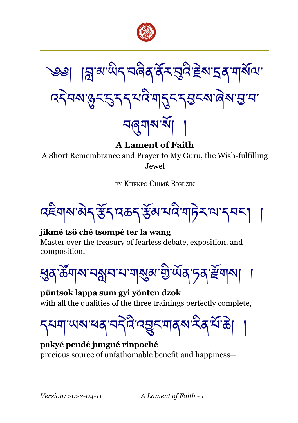



**A Lament of Faith**

A Short Remembrance and Prayer to My Guru, the Wish-fulfilling Jewel

BY KHENPO CHIMÉ RIGDZIN

বইশৰমাৰীৰ স্কুঁৰ বৰুৱাই স্কুঁৱামেই শ্ৰাচীৰ আৰ্থনা ।

# **jikmé tsö ché tsompé ter la wang**

Master over the treasury of fearless debate, exposition, and composition,

<u></u>ধ্তুব'ৰ্ক্টশৰম'নমুখ শৰ্মুৰ'মুঁ'ৰ্ਘৰ'চৰ'ৰ্স্টশৰ্মা

**püntsok lappa sum gyi yönten dzok** with all the qualities of the three trainings perfectly complete,

<u></u>ॸॺॺा খেত্ৰাসেই বিদ্ৰুত বাৰ্মাই বিশ্বক

**pakyé pendé jungné rinpoché** precious source of unfathomable benefit and happiness—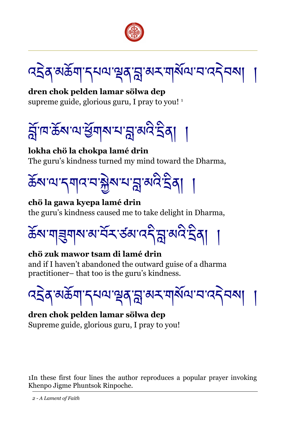

বইৰ্'মৰ্ক্ৰশান্মৰাত্মৰায়ুৰ্ম্মৰ শাৰ্ষ্মৰাৰাৰ বিৰা

**dren chok pelden lamar sölwa dep** supreme guide, glorious guru, I pray to you! <sup>[1](#page-1-0)</sup>



**lokha chö la chokpa lamé drin** The guru's kindness turned my mind toward the Dharma,



#### **chö la gawa kyepa lamé drin**

the guru's kindness caused me to take delight in Dharma,

ཆོས་གཟུགས་མ་བནོར་ཙམ་འདི་བླ་མའི་དྲིན། །

# **chö zuk mawor tsam di lamé drin**

and if I haven't abandoned the outward guise of a dharma practitioner– that too is the guru's kindness.



#### **dren chok pelden lamar sölwa dep** Supreme guide, glorious guru, I pray to you!

<span id="page-1-0"></span>1In these first four lines the author reproduces a popular prayer invoking Khenpo Jigme Phuntsok Rinpoche.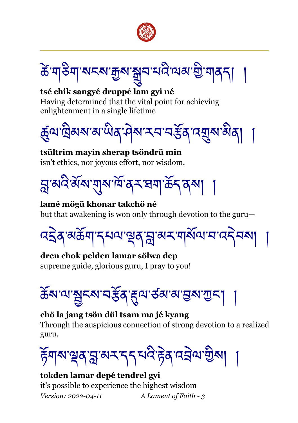

ক্ট'শ্বইশ্বাম্বৰ্ম'ক্কুৰ'মন্ত্ৰীম্মজ্যজ্ঞী'শ্বৰ্

**tsé chik sangyé druppé lam gyi né** Having determined that the vital point for achieving enlightenment in a single lifetime



**tsültrim mayin sherap tsöndrü min** isn't ethics, nor joyous effort, nor wisdom,

ন্ন'ঝব'ৰ্মঁম'ম্মশৰ্ম'ৰ্ম'ষশ'ৰ্ক্ৰিব্ম। ।

**lamé mögü khonar takchö né** but that awakening is won only through devotion to the guru—

বইৰ্স্ঞৰ্ক্টশাব্মঅস্থেৰ্স্নুস্মমশাৰ্মীঅ'ন'বৰ্ব্মৰ

**dren chok pelden lamar sölwa dep** supreme guide, glorious guru, I pray to you!

<u>ঌ</u>ॕॺॱॺॱॺॗॸॺॱॸॶॕॺॱॸॣॺॱड़॔ॺॱॺॱॻॖॺॱॻॖॸऻ

#### **chö la jang tsön dül tsam ma jé kyang**

Through the auspicious connection of strong devotion to a realized guru,

हॅगबा भूवान्ना अरान् चार्य हेवादचेषा शुब्बा

**tokden lamar depé tendrel gyi** it's possible to experience the highest wisdom *Version: 2022-04-11 A Lament of Faith - 3*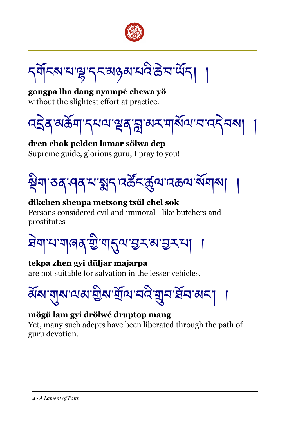

ຽর্শিক্ষমাঞ্জাব্দজ্ঞামইস্টমার্থ্যবা ।

**gongpa lha dang nyampé chewa yö** without the slightest effort at practice.

বইৰ্স্উমান্দ্ৰমণ্ড্ৰৰ্সম্ভ্ৰম্ম ৰ্ম্মান্দ্ৰৰ্স্কৰ

**dren chok pelden lamar sölwa dep** Supreme guide, glorious guru, I pray to you!



#### **dikchen shenpa metsong tsül chel sok** Persons considered evil and immoral—like butchers and prostitutes—

ষিমাম'মাৰৰ' খ্ৰী'মানুম'ম্ভ্ৰুম'মুমমা

# **tekpa zhen gyi düljar majarpa**

are not suitable for salvation in the lesser vehicles.



# **mögü lam gyi drölwé druptop mang**

Yet, many such adepts have been liberated through the path of guru devotion.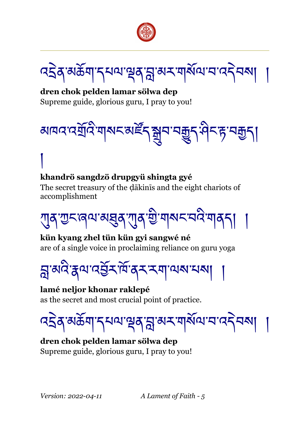

বইৰ্স্উন্সাদ্মন্থৰস্ক্ৰাম্ম্ম্ম্ম্মাম্ম্ব্ৰ

**dren chok pelden lamar sölwa dep** Supreme guide, glorious guru, I pray to you!



# **khandrö sangdzö drupgyü shingta gyé**

The secret treasury of the dakinis and the eight chariots of accomplishment

ཀུན་ཀྱང་ཞལ་མཐུན་ཀུན་གྱི་གསང་བའི་གནད། །

**kün kyang zhel tün kün gyi sangwé né** are of a single voice in proclaiming reliance on guru yoga

བླ་མའི་རྣལ་འབྱནོར་ཁོ་ནར་རག་ལས་པས། །

#### **lamé neljor khonar raklepé**

as the secret and most crucial point of practice.



#### **dren chok pelden lamar sölwa dep** Supreme guide, glorious guru, I pray to you!

།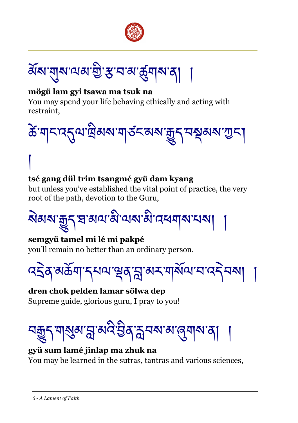

ঌ৾য়েখ্যমূক্ষেত্ৰী স্ক্ৰীসমূহী

#### **mögü lam gyi tsawa ma tsuk na**

You may spend your life behaving ethically and acting with restraint,



# **tsé gang dül trim tsangmé gyü dam kyang**

but unless you've established the vital point of practice, the very root of the path, devotion to the Guru,

# <u> </u><br>মন্তব্যক্ত্ৰণ প্ৰাৰ্থ ৰাজ্য ৰাজ্য বিদ্যালয় বিদ্যা

#### **semgyü tamel mi lé mi pakpé**

།

you'll remain no better than an ordinary person.

বইৰ্'মৰ্ক্টশ'ন্মম্মাণ্ড্ৰৰ'ম্ল'ম্মম্মাম্মান'বন্নম্ম

**dren chok pelden lamar sölwa dep** Supreme guide, glorious guru, I pray to you!

# <u>নন্</u>তুন শান্ত্মৰুশ্ধ্ৰায়ক্ষই ইন্সম্বৰুপ্ন জুশৰুৰ বা

# **gyü sum lamé jinlap ma zhuk na** You may be learned in the sutras, tantras and various sciences,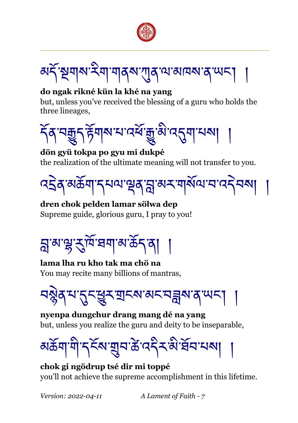



#### **do ngak rikné kün la khé na yang**

but, unless you've received the blessing of a guru who holds the three lineages,



#### **dön gyü tokpa po gyu mi dukpé** the realization of the ultimate meaning will not transfer to you.



**dren chok pelden lamar sölwa dep** Supreme guide, glorious guru, I pray to you!



**lama lha ru kho tak ma chö na** You may recite many billions of mantras,

<u>བསྱེ</u>ན་པ་དུང་ཕྱུར་གྲངས་མང་བឝ্লুས་ན་ལང།

**nyenpa dungchur drang mang dé na yang** but, unless you realize the guru and deity to be inseparable,



**chok gi ngödrup tsé dir mi toppé** you'll not achieve the supreme accomplishment in this lifetime.

*Version: 2022-04-11 A Lament of Faith - 7*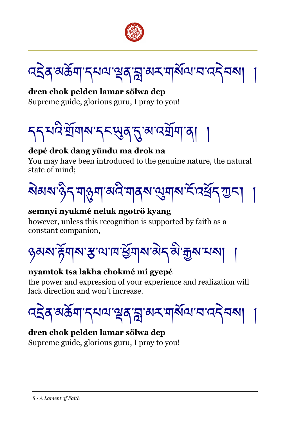

বইৰ্'মৰ্ক্টশ'ন্মম্ম'শ্ৰুৰ'ম্ল'ম্মম্ম'ম'ম'বন্নমা

**dren chok pelden lamar sölwa dep** Supreme guide, glorious guru, I pray to you!



#### **depé drok dang yündu ma drok na**

You may have been introduced to the genuine nature, the natural state of mind;



#### **semnyi nyukmé neluk ngotrö kyang**

however, unless this recognition is supported by faith as a constant companion,



#### **nyamtok tsa lakha chokmé mi gyepé**

the power and expression of your experience and realization will lack direction and won't increase.

বইৰ্'মৰ্ক্ৰিশান্মথমান্থৰাম্লাৰ্ম্মশামামানাৰ্দ্বিম্ম|

# **dren chok pelden lamar sölwa dep**

Supreme guide, glorious guru, I pray to you!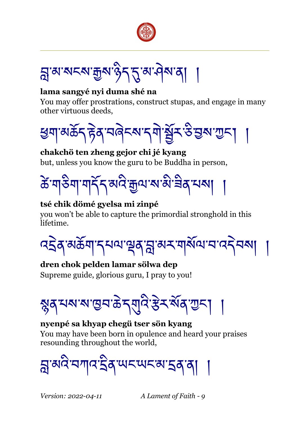

ন্ন'ঝ'মনম'ক্কুম'ৡ৲৲ম'ঐম'ঝা

#### **lama sangyé nyi duma shé na**

You may offer prostrations, construct stupas, and engage in many other virtuous deeds,



#### **chakchö ten zheng gejor chi jé kyang** but, unless you know the guru to be Buddha in person,



#### **tsé chik dömé gyelsa mi zinpé**

you won't be able to capture the primordial stronghold in this lifetime.

বইৰ্স্উন্সাদ্মন্থৰাম্লাৰ্ম্মশ্ৰম্বাৰ্ম্ম বাৰ্ম্বিৰ্ম্

#### **dren chok pelden lamar sölwa dep**

Supreme guide, glorious guru, I pray to you!

<u>ৡ</u>ན་པས་ས་ལུབ་கེདགུའེ་རརེར་སོན་ཀྱང། ।

#### **nyenpé sa khyap chegü tser sön kyang**

You may have been born in opulence and heard your praises resounding throughout the world,

য়ৢ৽য়৾ঽৼয়ঢ়ঽৼয়ৼয়ৼয়ৼ৸

*Version: 2022-04-11 A Lament of Faith - 9*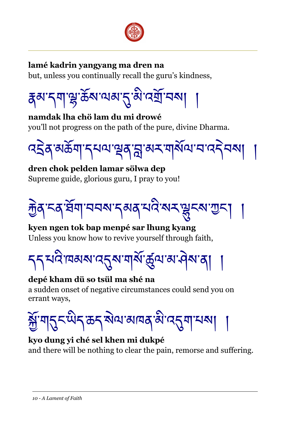

#### **lamé kadrin yangyang ma dren na**

but, unless you continually recall the guru's kindness,

$$
\frac{1}{4} \exp\left(-\frac{1}{2} \sum_{i=1}^{n} \sum_{j=1}^{n} \sum_{j=1}^{n} \sum_{j=1}^{n} \sum_{j=1}^{n} \sum_{j=1}^{n} \sum_{j=1}^{n} \sum_{j=1}^{n} \sum_{j=1}^{n} \sum_{j=1}^{n} \sum_{j=1}^{n} \sum_{j=1}^{n} \sum_{j=1}^{n} \sum_{j=1}^{n} \sum_{j=1}^{n} \sum_{j=1}^{n} \sum_{j=1}^{n} \sum_{j=1}^{n} \sum_{j=1}^{n} \sum_{j=1}^{n} \sum_{j=1}^{n} \sum_{j=1}^{n} \sum_{j=1}^{n} \sum_{j=1}^{n} \sum_{j=1}^{n} \sum_{j=1}^{n} \sum_{j=1}^{n} \sum_{j=1}^{n} \sum_{j=1}^{n} \sum_{j=1}^{n} \sum_{j=1}^{n} \sum_{j=1}^{n} \sum_{j=1}^{n} \sum_{j=1}^{n} \sum_{j=1}^{n} \sum_{j=1}^{n} \sum_{j=1}^{n} \sum_{j=1}^{n} \sum_{j=1}^{n} \sum_{j=1}^{n} \sum_{j=1}^{n} \sum_{j=1}^{n} \sum_{j=1}^{n} \sum_{j=1}^{n} \sum_{j=1}^{n} \sum_{j=1}^{n} \sum_{j=1}^{n} \sum_{j=1}^{n} \sum_{j=1}^{n} \sum_{j=1}^{n} \sum_{j=1}^{n} \sum_{j=1}^{n} \sum_{j=1}^{n} \sum_{j=1}^{n} \sum_{j=1}^{n} \sum_{j=1}^{n} \sum_{j=1}^{n} \sum_{j=1}^{n} \sum_{j=1}^{n} \sum_{j=1}^{n} \sum_{j=1}^{n} \sum_{j=1}^{n} \sum_{j=1}^{n} \sum_{j=1}^{n} \sum_{j=1}^{n} \sum_{j=1}^{n} \sum_{j=1}^{n} \sum_{j=1}^{n} \sum_{j=1}^{n} \sum_{j=1}^{n} \sum_{j=1}^{n} \sum_{j=1}^{n} \sum_{j=1}^{n} \sum_{j=1}^{n}
$$

**namdak lha chö lam du mi drowé** you'll not progress on the path of the pure, divine Dharma.



# **dren chok pelden lamar sölwa dep** Supreme guide, glorious guru, I pray to you!



# **kyen ngen tok bap menpé sar lhung kyang** Unless you know how to revive yourself through faith,

# དད་པའི་ཁམས་འདུས་གསནོ་ཚུལ་མ་ཤེས་ན། །

# **depé kham dü so tsül ma shé na**

a sudden onset of negative circumstances could send you on errant ways,

ৰ্ক্সশান্ত্ৰ অধ্যান্ত্ৰ অগবৰ জন্ম আৰু স্থা

#### **kyo dung yi ché sel khen mi dukpé**

and there will be nothing to clear the pain, remorse and suffering.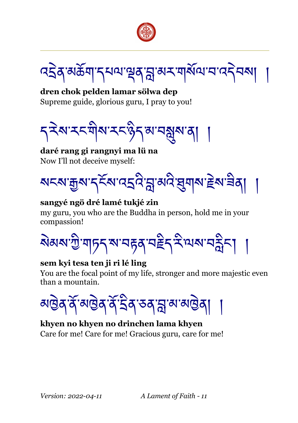

বইৰ্'মৰ্ক্ৰশাস্মন্মশ্ৰৰাম্ভ্ৰাম্মৰাম্মিন্মাৰাৰেইব্মা

**dren chok pelden lamar sölwa dep** Supreme guide, glorious guru, I pray to you!



**daré rang gi rangnyi ma lü na** Now I'll not deceive myself:



#### **sangyé ngö dré lamé tukjé zin**

my guru, you who are the Buddha in person, hold me in your compassion!

ষ্টিম্মান্ট্ৰিন্স মানৱৰ বইন ইন্মৰ্মানহীন

#### **sem kyi tesa ten ji ri lé ling**

You are the focal point of my life, stronger and more majestic even than a mountain.

<u>য়ড়৳ৼৗৢৣ৸ড়৾ঀৼঀৣৼয়ড়ড়ঀ</u>

# **khyen no khyen no drinchen lama khyen**

Care for me! Care for me! Gracious guru, care for me!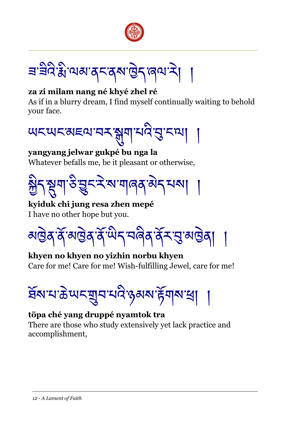

<u>ᡜᡃ</u>ᡱᡠᢃᡎᢆᠬᢂ᠕ᢃᢣ᠀ᢆᢆᢋᢂ᠗ᢓᢋ᠙᠕ᢋ

#### **za zi milam nang né khyé zhel ré**

As if in a blurry dream, I find myself continually waiting to behold your face.



#### **yangyang jelwar gukpé bu nga la** Whatever befalls me, be it pleasant or otherwise,



**kyiduk chi jung resa zhen mepé** I have no other hope but you.

<u>য়ড়৳ৼৗড়ড়৸ড়ড়৸ড়৸ড়৸ড়৸ড়৸</u>

#### **khyen no khyen no yizhin norbu khyen** Care for me! Care for me! Wish-fulfilling Jewel, care for me!



#### **töpa ché yang druppé nyamtok tra**

There are those who study extensively yet lack practice and accomplishment,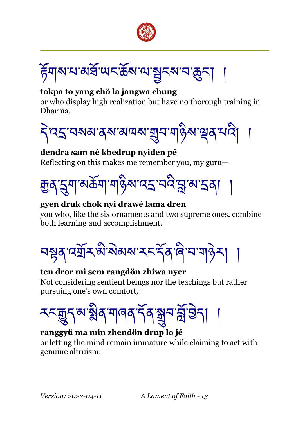



#### **tokpa to yang chö la jangwa chung**

or who display high realization but have no thorough training in Dharma.



#### **dendra sam né khedrup nyiden pé**

Reflecting on this makes me remember you, my guru—



#### **gyen druk chok nyi drawé lama dren**

you who, like the six ornaments and two supreme ones, combine both learning and accomplishment.

བསྟན་འགྲོར་མི་སེམས་རང་དནོན་ཞི་བ་གཉེར། །

#### **ten dror mi sem rangdön zhiwa nyer**

Not considering sentient beings nor the teachings but rather pursuing one's own comfort,



#### **ranggyü ma min zhendön drup lo jé**

or letting the mind remain immature while claiming to act with genuine altruism: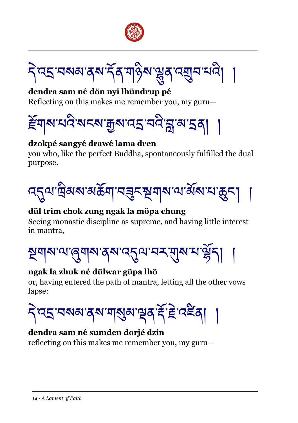



**dendra sam né dön nyi lhündrup pé** Reflecting on this makes me remember you, my guru—



#### **dzokpé sangyé drawé lama dren**

you who, like the perfect Buddha, spontaneously fulfilled the dual purpose.



# **dül trim chok zung ngak la möpa chung**

Seeing monastic discipline as supreme, and having little interest in mantra,



#### **ngak la zhuk né dülwar güpa lhö**

or, having entered the path of mantra, letting all the other vows lapse:



#### **dendra sam né sumden dorjé dzin**

reflecting on this makes me remember you, my guru—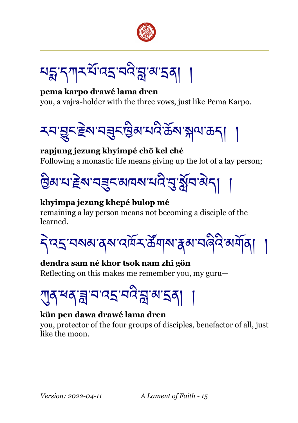

থহ্কান্সসম্মিত্বস্থা রাজ্য ।

**pema karpo drawé lama dren** you, a vajra-holder with the three vows, just like Pema Karpo.

རབ་བྱུང་རྗེས་བཟུང་ཁྱིམ་པའི་ཆོས་སྐལ་ཆད། །

#### **rapjung jezung khyimpé chö kel ché** Following a monastic life means giving up the lot of a lay person;



# **khyimpa jezung khepé bulop mé**

remaining a lay person means not becoming a disciple of the learned.

དེ་འདྲ་བསམ་ནས་འཁོར་ཚནོགས་རྣམ་བཞིའི་མགོན། །

# **dendra sam né khor tsok nam zhi gön**

Reflecting on this makes me remember you, my guru—



#### **kün pen dawa drawé lama dren**

you, protector of the four groups of disciples, benefactor of all, just like the moon.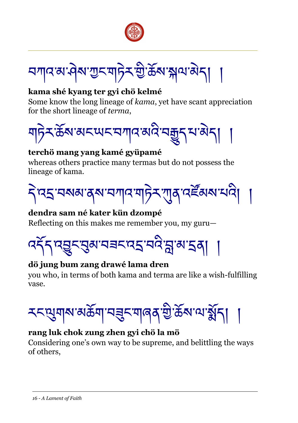

ব্যানস্মাত্ত্বিসাম্ভ উন্নারী নাম

#### **kama shé kyang ter gyi chö kelmé**

Some know the long lineage of *kama*, yet have scant appreciation for the short lineage of *terma*,



#### **terchö mang yang kamé gyüpamé**

whereas others practice many termas but do not possess the lineage of kama.



#### **dendra sam né kater kün dzompé**

Reflecting on this makes me remember you, my guru—



# **dö jung bum zang drawé lama dren**

you who, in terms of both kama and terma are like a wish-fulfilling vase.



# **rang luk chok zung zhen gyi chö la mö**

Considering one's own way to be supreme, and belittling the ways of others,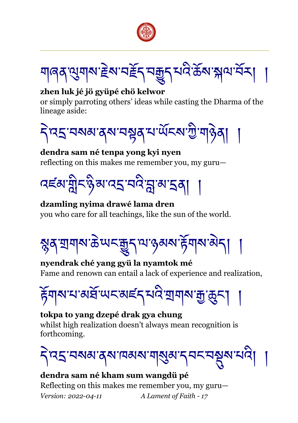

য়ৰিখ্যাৰ বিৰোধী আৰু বিৰোধী বিৰোধী প্ৰতিষ্ঠা

#### **zhen luk jé jö gyüpé chö kelwor**

or simply parroting others' ideas while casting the Dharma of the lineage aside:



#### **dendra sam né tenpa yong kyi nyen** reflecting on this makes me remember you, my guru—



# **dzamling nyima drawé lama dren**

you who care for all teachings, like the sun of the world.

স্কুৰ্ শ্ৰমাৰ উত্মহ অন্তৰ্ভুন্ন অন্তৰ্ভুক্ত অৱ্যালী

#### **nyendrak ché yang gyü la nyamtok mé** Fame and renown can entail a lack of experience and realization,

ৰ্হিম্মম্মেৰ্ষ্ট'অন্মছ্হেশ্মই'মেনীসম্মুক্ত বি

# **tokpa to yang dzepé drak gya chung**

whilst high realization doesn't always mean recognition is forthcoming.

ব্রিং নক্ষার্মান কাম আর্থিন নক্ষার দিবলৈ

#### **dendra sam né kham sum wangdü pé**

Reflecting on this makes me remember you, my guru— *Version: 2022-04-11 A Lament of Faith - 17*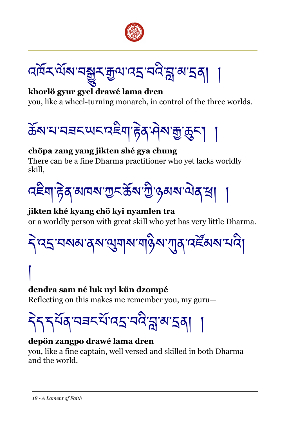



# **khorlö gyur gyel drawé lama dren**

you, like a wheel-turning monarch, in control of the three worlds.



# **chöpa zang yang jikten shé gya chung**

There can be a fine Dharma practitioner who yet lacks worldly skill,



#### **jikten khé kyang chö kyi nyamlen tra** or a worldly person with great skill who yet has very little Dharma.

དེ་འདྲ་བསམ་ནས་ལུགས་གཉིས་ཀུན་འཛནོམས་པའི།

# **dendra sam né luk nyi kün dzompé**

Reflecting on this makes me remember you, my guru—

# <u> दे</u>दद्भियुज्ञ्च्द्र्यं प्रद्भुग्वान्नुत्रा

#### **depön zangpo drawé lama dren**

you, like a fine captain, well versed and skilled in both Dharma and the world.

།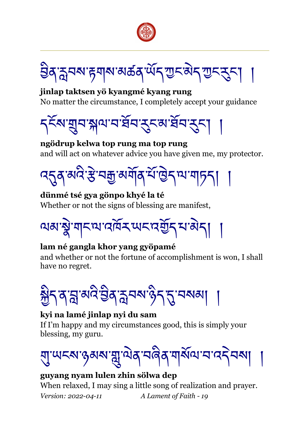



**jinlap taktsen yö kyangmé kyang rung** No matter the circumstance, I completely accept your guidance



**ngödrup kelwa top rung ma top rung** and will act on whatever advice you have given me, my protector.

<u>ঀ</u>৻য়৻৸৻৻৻য়৸য়৸য়৸য়৸৸৸৸৸৸৸৸৸৸৸

**dünmé tsé gya gönpo khyé la té** Whether or not the signs of blessing are manifest,

ལམ་སྣེ་གང་ལ་འཁོར་ཡང་འགྱོད་པ་མེད། །

#### **lam né gangla khor yang gyöpamé**

and whether or not the fortune of accomplishment is won, I shall have no regret.



#### **kyi na lamé jinlap nyi du sam**

If I'm happy and my circumstances good, this is simply your blessing, my guru.

ঘ্ৰাঅহমান্তৰমান্মুাম্মৰ বৰিৰ শৰ্মিঅ'নাবেইনমা

#### **guyang nyam lulen zhin sölwa dep**

When relaxed, I may sing a little song of realization and prayer. *Version: 2022-04-11 A Lament of Faith - 19*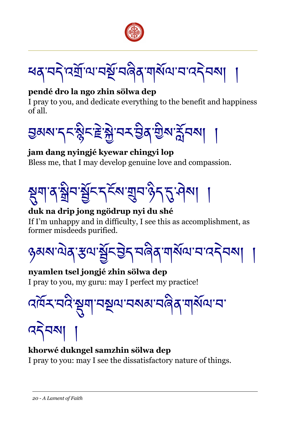

ধ্যমেন ব্যানে ইং নৰ্টৰ মাৰ্থ আৰু বিধা

#### **pendé dro la ngo zhin sölwa dep**

I pray to you, and dedicate everything to the benefit and happiness of all.



#### **jam dang nyingjé kyewar chingyi lop**

Bless me, that I may develop genuine love and compassion.



# **duk na drip jong ngödrup nyi du shé**

If I'm unhappy and in difficulty, I see this as accomplishment, as former misdeeds purified.



**nyamlen tsel jongjé zhin sölwa dep** I pray to you, my guru: may I perfect my practice!



# **khorwé dukngel samzhin sölwa dep**

I pray to you: may I see the dissatisfactory nature of things.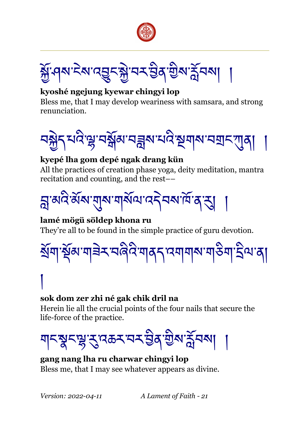



# **kyoshé ngejung kyewar chingyi lop**

Bless me, that I may develop weariness with samsara, and strong renunciation.



# **kyepé lha gom depé ngak drang kün**

All the practices of creation phase yoga, deity meditation, mantra recitation and counting, and the rest––



**lamé mögü söldep khona ru** They're all to be found in the simple practice of guru devotion.



# །

# **sok dom zer zhi né gak chik dril na**

Herein lie all the crucial points of the four nails that secure the life-force of the practice.



#### **gang nang lha ru charwar chingyi lop** Bless me, that I may see whatever appears as divine.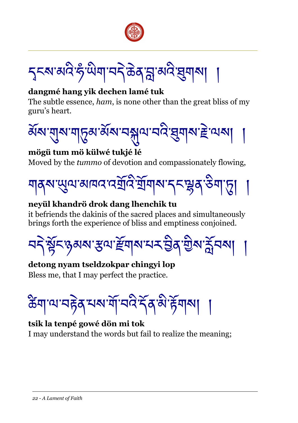

*ॸ*ॖॸॺॱॺॺॆॱॸऀॱਘॆॺॱॺॸॆॱऄॺॱॸॣॱॺॺऀॱख़ॖॺॺऻ

#### **dangmé hang yik dechen lamé tuk**

The subtle essence, *ham*, is none other than the great bliss of my guru's heart.



#### **mögü tum mö külwé tukjé lé**

Moved by the *tummo* of devotion and compassionately flowing,



#### **neyül khandrö drok dang lhenchik tu**

it befriends the dakinis of the sacred places and simultaneously brings forth the experience of bliss and emptiness conjoined.

<u>ব্দ শ্লুঁ</u>দঙ্গৰূখ স্থাই ব্যাগ মুখ বুৰি ভূপে সুঁচৰণ

# **detong nyam tseldzokpar chingyi lop**

Bless me, that I may perfect the practice.

ঠিশাঅ'নইৰ শৰু শীত্ৰই ইৰ'উইনৰ

# **tsik la tenpé gowé dön mi tok**

I may understand the words but fail to realize the meaning;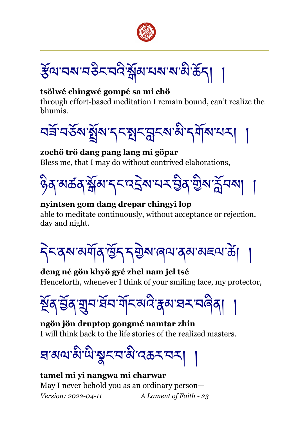

हॅया वरा वर्डेद वर्दे क्षेत्रा यस साआँ के न

#### **tsölwé chingwé gompé sa mi chö**

through effort-based meditation I remain bound, can't realize the bhumis.



#### **zochö trö dang pang lang mi göpar**

Bless me, that I may do without contrived elaborations,



# **nyintsen gom dang drepar chingyi lop**

able to meditate continuously, without acceptance or rejection, day and night.

དེང་ནས་མགོན་ཁྱོད་དགྱེས་ཞལ་ནམ་མཇལ་ཚེ། །

**deng né gön khyö gyé zhel nam jel tsé** Henceforth, whenever I think of your smiling face, my protector,

ষ্ঠিব'ৰ্শ্ৰব'ৰ্শ্ৰব'ৰ্শ্বন'ৰ্শ্বৰ'ষ-মেৰিবা

**ngön jön druptop gongmé namtar zhin** I will think back to the life stories of the realized masters.

ষজ্ঞাস্মার্থীস্থের্ছেমার্জিক্রমা

**tamel mi yi nangwa mi charwar** May I never behold you as an ordinary person— *Version: 2022-04-11 A Lament of Faith - 23*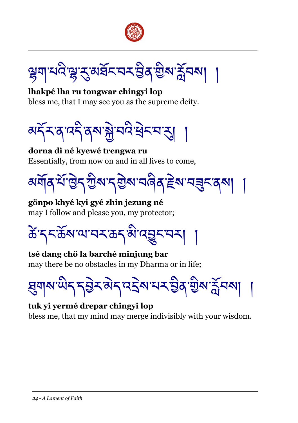



**lhakpé lha ru tongwar chingyi lop** bless me, that I may see you as the supreme deity.



**dorna di né kyewé trengwa ru** Essentially, from now on and in all lives to come,

མགོན་པནོ་ཁྱེད་ཀྱིས་དགྱེས་བཞིན་རྗེས་བཟུང་ནས། །

**gönpo khyé kyi gyé zhin jezung né** may I follow and please you, my protector;

ཚེ་དང་ཆོས་ལ་བར་ཆད་མི་འབྱུང་བར། །

**tsé dang chö la barché minjung bar** may there be no obstacles in my Dharma or in life;



#### **tuk yi yermé drepar chingyi lop** bless me, that my mind may merge indivisibly with your wisdom.